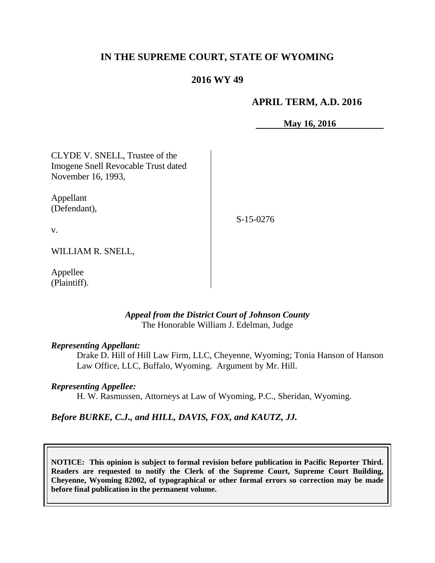## **IN THE SUPREME COURT, STATE OF WYOMING**

# **2016 WY 49**

### **APRIL TERM, A.D. 2016**

**May 16, 2016**

CLYDE V. SNELL, Trustee of the Imogene Snell Revocable Trust dated November 16, 1993,

Appellant (Defendant),

S-15-0276

v.

WILLIAM R. SNELL,

Appellee (Plaintiff).

#### *Appeal from the District Court of Johnson County* The Honorable William J. Edelman, Judge

#### *Representing Appellant:*

Drake D. Hill of Hill Law Firm, LLC, Cheyenne, Wyoming; Tonia Hanson of Hanson Law Office, LLC, Buffalo, Wyoming. Argument by Mr. Hill.

#### *Representing Appellee:*

H. W. Rasmussen, Attorneys at Law of Wyoming, P.C., Sheridan, Wyoming.

### *Before BURKE, C.J., and HILL, DAVIS, FOX, and KAUTZ, JJ.*

**NOTICE: This opinion is subject to formal revision before publication in Pacific Reporter Third. Readers are requested to notify the Clerk of the Supreme Court, Supreme Court Building, Cheyenne, Wyoming 82002, of typographical or other formal errors so correction may be made before final publication in the permanent volume.**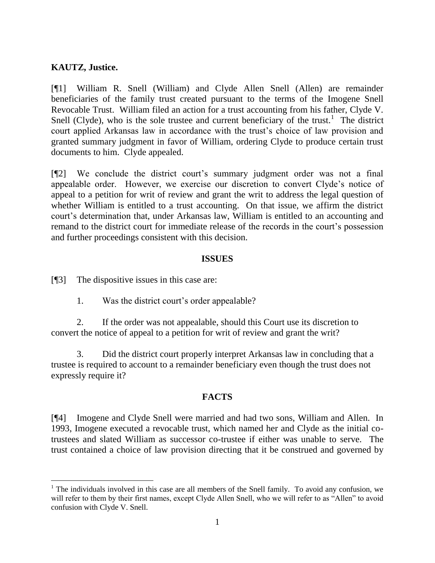## **KAUTZ, Justice.**

[¶1] William R. Snell (William) and Clyde Allen Snell (Allen) are remainder beneficiaries of the family trust created pursuant to the terms of the Imogene Snell Revocable Trust. William filed an action for a trust accounting from his father, Clyde V. Snell (Clyde), who is the sole trustee and current beneficiary of the trust.<sup>1</sup> The district court applied Arkansas law in accordance with the trust's choice of law provision and granted summary judgment in favor of William, ordering Clyde to produce certain trust documents to him. Clyde appealed.

[¶2] We conclude the district court's summary judgment order was not a final appealable order. However, we exercise our discretion to convert Clyde's notice of appeal to a petition for writ of review and grant the writ to address the legal question of whether William is entitled to a trust accounting. On that issue, we affirm the district court's determination that, under Arkansas law, William is entitled to an accounting and remand to the district court for immediate release of the records in the court's possession and further proceedings consistent with this decision.

## **ISSUES**

[¶3] The dispositive issues in this case are:

1. Was the district court's order appealable?

2. If the order was not appealable, should this Court use its discretion to convert the notice of appeal to a petition for writ of review and grant the writ?

3. Did the district court properly interpret Arkansas law in concluding that a trustee is required to account to a remainder beneficiary even though the trust does not expressly require it?

## **FACTS**

[¶4] Imogene and Clyde Snell were married and had two sons, William and Allen. In 1993, Imogene executed a revocable trust, which named her and Clyde as the initial cotrustees and slated William as successor co-trustee if either was unable to serve. The trust contained a choice of law provision directing that it be construed and governed by

 $1$  The individuals involved in this case are all members of the Snell family. To avoid any confusion, we will refer to them by their first names, except Clyde Allen Snell, who we will refer to as "Allen" to avoid confusion with Clyde V. Snell.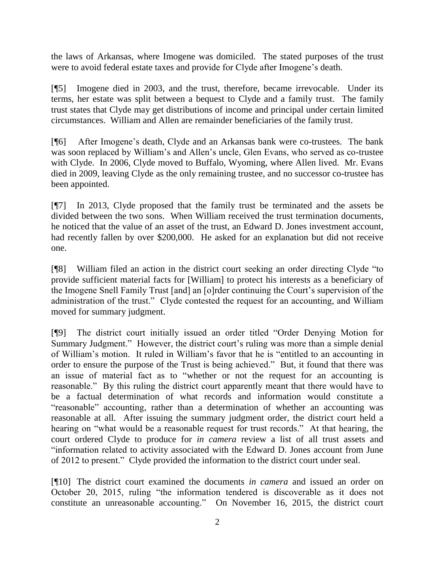the laws of Arkansas, where Imogene was domiciled. The stated purposes of the trust were to avoid federal estate taxes and provide for Clyde after Imogene's death.

[¶5] Imogene died in 2003, and the trust, therefore, became irrevocable. Under its terms, her estate was split between a bequest to Clyde and a family trust. The family trust states that Clyde may get distributions of income and principal under certain limited circumstances. William and Allen are remainder beneficiaries of the family trust.

[¶6] After Imogene's death, Clyde and an Arkansas bank were co-trustees. The bank was soon replaced by William's and Allen's uncle, Glen Evans, who served as co-trustee with Clyde. In 2006, Clyde moved to Buffalo, Wyoming, where Allen lived. Mr. Evans died in 2009, leaving Clyde as the only remaining trustee, and no successor co-trustee has been appointed.

[¶7] In 2013, Clyde proposed that the family trust be terminated and the assets be divided between the two sons. When William received the trust termination documents, he noticed that the value of an asset of the trust, an Edward D. Jones investment account, had recently fallen by over \$200,000. He asked for an explanation but did not receive one.

[¶8] William filed an action in the district court seeking an order directing Clyde "to provide sufficient material facts for [William] to protect his interests as a beneficiary of the Imogene Snell Family Trust [and] an [o]rder continuing the Court's supervision of the administration of the trust." Clyde contested the request for an accounting, and William moved for summary judgment.

[¶9] The district court initially issued an order titled "Order Denying Motion for Summary Judgment." However, the district court's ruling was more than a simple denial of William's motion. It ruled in William's favor that he is "entitled to an accounting in order to ensure the purpose of the Trust is being achieved." But, it found that there was an issue of material fact as to "whether or not the request for an accounting is reasonable." By this ruling the district court apparently meant that there would have to be a factual determination of what records and information would constitute a "reasonable" accounting, rather than a determination of whether an accounting was reasonable at all. After issuing the summary judgment order, the district court held a hearing on "what would be a reasonable request for trust records." At that hearing, the court ordered Clyde to produce for *in camera* review a list of all trust assets and "information related to activity associated with the Edward D. Jones account from June of 2012 to present." Clyde provided the information to the district court under seal.

[¶10] The district court examined the documents *in camera* and issued an order on October 20, 2015, ruling "the information tendered is discoverable as it does not constitute an unreasonable accounting." On November 16, 2015, the district court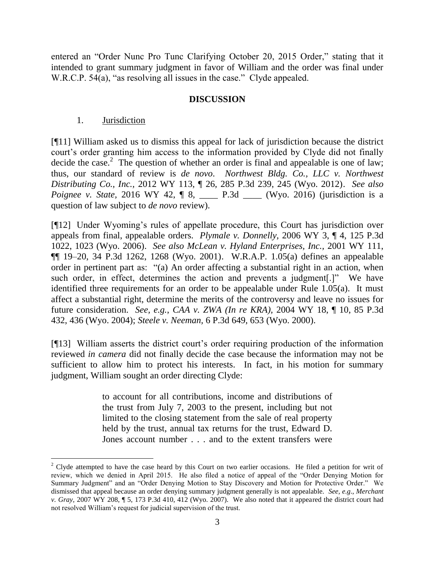entered an "Order Nunc Pro Tunc Clarifying October 20, 2015 Order," stating that it intended to grant summary judgment in favor of William and the order was final under W.R.C.P. 54(a), "as resolving all issues in the case." Clyde appealed.

#### **DISCUSSION**

### 1. Jurisdiction

[¶11] William asked us to dismiss this appeal for lack of jurisdiction because the district court's order granting him access to the information provided by Clyde did not finally decide the case.<sup>2</sup> The question of whether an order is final and appealable is one of law; thus, our standard of review is *de novo*. *[Northwest Bldg. Co., LLC v. Northwest](http://www.westlaw.com/Link/Document/FullText?findType=Y&serNum=2028499166&pubNum=0004645&originatingDoc=I5c2c2f3f961b11e490d4edf60ce7d742&refType=RP&fi=co_pp_sp_4645_245&originationContext=document&vr=3.0&rs=cblt1.0&transitionType=DocumentItem&contextData=(sc.Search)#co_pp_sp_4645_245)  Distributing Co., Inc.,* [2012 WY 113, ¶ 26, 285 P.3d 239, 245 \(Wyo. 2012\).](http://www.westlaw.com/Link/Document/FullText?findType=Y&serNum=2028499166&pubNum=0004645&originatingDoc=I5c2c2f3f961b11e490d4edf60ce7d742&refType=RP&fi=co_pp_sp_4645_245&originationContext=document&vr=3.0&rs=cblt1.0&transitionType=DocumentItem&contextData=(sc.Search)#co_pp_sp_4645_245) *See also Poignee v. State, 2016 WY 42, ¶ 8, \_\_\_\_ P.3d \_\_\_ (Wyo. 2016) (jurisdiction is a* question of law subject to *de novo* review).

[¶12] Under Wyoming's rules of appellate procedure, this Court has jurisdiction over appeals from final, appealable orders. *Plymale v. Donnelly,* 2006 WY 3, ¶ 4, 125 P.3d 1022, 1023 (Wyo. 2006). *See also [McLean v. Hyland Enterprises, Inc.,](http://www.westlaw.com/Link/Document/FullText?findType=Y&serNum=2001966872&pubNum=4645&originatingDoc=I20dcb87f7ed911da8ccab4c14e983401&refType=RP&fi=co_pp_sp_4645_1268&originationContext=document&vr=3.0&rs=cblt1.0&transitionType=DocumentItem&contextData=(sc.Search)#co_pp_sp_4645_1268)* 2001 WY 111, [¶¶ 19–20, 34 P.3d 1262, 1268 \(Wyo. 2001\).](http://www.westlaw.com/Link/Document/FullText?findType=Y&serNum=2001966872&pubNum=4645&originatingDoc=I20dcb87f7ed911da8ccab4c14e983401&refType=RP&fi=co_pp_sp_4645_1268&originationContext=document&vr=3.0&rs=cblt1.0&transitionType=DocumentItem&contextData=(sc.Search)#co_pp_sp_4645_1268) W.R.A.P. [1.05\(](http://www.westlaw.com/Link/Document/FullText?findType=L&pubNum=1006377&cite=WYRRAPR1.05&originatingDoc=I20dcb87f7ed911da8ccab4c14e983401&refType=LQ&originationContext=document&vr=3.0&rs=cblt1.0&transitionType=DocumentItem&contextData=(sc.Search))a) defines an appealable order in pertinent part as: "(a) An order affecting a substantial right in an action, when such order, in effect, determines the action and prevents a judgment[.]" We have identified three requirements for an order to be appealable under Rule 1.05(a). It must affect a substantial right, determine the merits of the controversy and leave no issues for future consideration. *See, e.g.*, *CAA v. ZWA (In re KRA),* 2004 WY 18, ¶ 10, 85 P.3d 432, 436 (Wyo. 2004); *Steele v. Neeman,* 6 P.3d 649, 653 (Wyo. 2000).

[¶13] William asserts the district court's order requiring production of the information reviewed *in camera* did not finally decide the case because the information may not be sufficient to allow him to protect his interests. In fact, in his motion for summary judgment, William sought an order directing Clyde:

> to account for all contributions, income and distributions of the trust from July 7, 2003 to the present, including but not limited to the closing statement from the sale of real property held by the trust, annual tax returns for the trust, Edward D. Jones account number . . . and to the extent transfers were

 $2$  Clyde attempted to have the case heard by this Court on two earlier occasions. He filed a petition for writ of review, which we denied in April 2015. He also filed a notice of appeal of the "Order Denying Motion for Summary Judgment" and an "Order Denying Motion to Stay Discovery and Motion for Protective Order." We dismissed that appeal because an order denying summary judgment generally is not appealable. *See, e.g*., *Merchant v. Gray,* 2007 WY 208, ¶ 5, 173 P.3d 410, 412 (Wyo. 2007). We also noted that it appeared the district court had not resolved William's request for judicial supervision of the trust.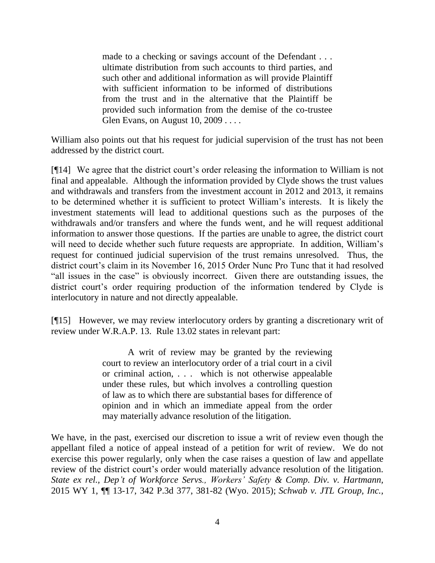made to a checking or savings account of the Defendant . . . ultimate distribution from such accounts to third parties, and such other and additional information as will provide Plaintiff with sufficient information to be informed of distributions from the trust and in the alternative that the Plaintiff be provided such information from the demise of the co-trustee Glen Evans, on August 10, 2009 . . . .

William also points out that his request for judicial supervision of the trust has not been addressed by the district court.

[¶14] We agree that the district court's order releasing the information to William is not final and appealable. Although the information provided by Clyde shows the trust values and withdrawals and transfers from the investment account in 2012 and 2013, it remains to be determined whether it is sufficient to protect William's interests. It is likely the investment statements will lead to additional questions such as the purposes of the withdrawals and/or transfers and where the funds went, and he will request additional information to answer those questions. If the parties are unable to agree, the district court will need to decide whether such future requests are appropriate. In addition, William's request for continued judicial supervision of the trust remains unresolved. Thus, the district court's claim in its November 16, 2015 Order Nunc Pro Tunc that it had resolved "all issues in the case" is obviously incorrect. Given there are outstanding issues, the district court's order requiring production of the information tendered by Clyde is interlocutory in nature and not directly appealable.

[¶15] However, we may review interlocutory orders by granting a discretionary writ of review under W.R.A.P. 13. Rule 13.02 states in relevant part:

> A writ of review may be granted by the reviewing court to review an interlocutory order of a trial court in a civil or criminal action, . . . which is not otherwise appealable under these rules, but which involves a controlling question of law as to which there are substantial bases for difference of opinion and in which an immediate appeal from the order may materially advance resolution of the litigation.

We have, in the past, exercised our discretion to issue a writ of review even though the appellant filed a notice of appeal instead of a petition for writ of review. We do not exercise this power regularly, only when the case raises a question of law and appellate review of the district court's order would materially advance resolution of the litigation. *State ex rel., Dep't of Workforce Servs., Workers' Safety & Comp. Div. v. Hartmann,*  2015 WY 1, ¶¶ 13-17, 342 P.3d 377, 381-82 (Wyo. 2015); *[Schwab v. JTL Group, Inc.,](http://www.westlaw.com/Link/Document/FullText?findType=Y&serNum=2031892873&pubNum=0004645&originatingDoc=I5c2c2f3f961b11e490d4edf60ce7d742&refType=RP&fi=co_pp_sp_4645_794&originationContext=document&vr=3.0&rs=cblt1.0&transitionType=DocumentItem&contextData=(sc.Search)#co_pp_sp_4645_794)*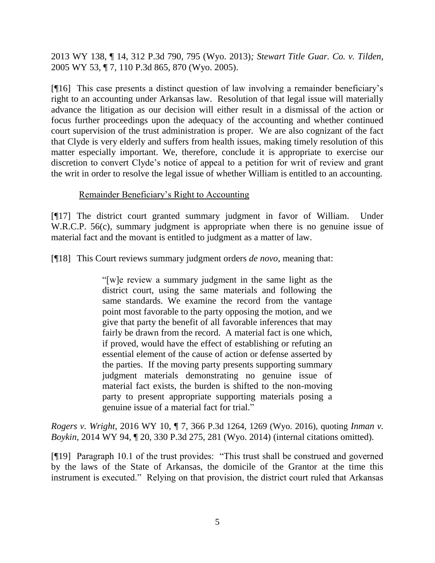2013 WY 138, ¶ 14, 312 P.3d 790, 795 (Wyo. 2013)*; [Stewart Title Guar. Co. v. Tilden,](http://www.westlaw.com/Link/Document/FullText?findType=Y&serNum=2006522729&pubNum=0004645&originatingDoc=I5c2c2f3f961b11e490d4edf60ce7d742&refType=RP&fi=co_pp_sp_4645_870&originationContext=document&vr=3.0&rs=cblt1.0&transitionType=DocumentItem&contextData=(sc.Search)#co_pp_sp_4645_870)* [2005 WY 53, ¶ 7, 110 P.3d 865, 870 \(Wyo. 2005\).](http://www.westlaw.com/Link/Document/FullText?findType=Y&serNum=2006522729&pubNum=0004645&originatingDoc=I5c2c2f3f961b11e490d4edf60ce7d742&refType=RP&fi=co_pp_sp_4645_870&originationContext=document&vr=3.0&rs=cblt1.0&transitionType=DocumentItem&contextData=(sc.Search)#co_pp_sp_4645_870)

[¶16] This case presents a distinct question of law involving a remainder beneficiary's right to an accounting under Arkansas law. Resolution of that legal issue will materially advance the litigation as our decision will either result in a dismissal of the action or focus further proceedings upon the adequacy of the accounting and whether continued court supervision of the trust administration is proper. We are also cognizant of the fact that Clyde is very elderly and suffers from health issues, making timely resolution of this matter especially important. We, therefore, conclude it is appropriate to exercise our discretion to convert Clyde's notice of appeal to a petition for writ of review and grant the writ in order to resolve the legal issue of whether William is entitled to an accounting.

## Remainder Beneficiary's Right to Accounting

[¶17] The district court granted summary judgment in favor of William. Under W.R.C.P. 56(c), summary judgment is appropriate when there is no genuine issue of material fact and the movant is entitled to judgment as a matter of law.

[¶18] This Court reviews summary judgment orders *de novo,* meaning that:

"[w]e review a summary judgment in the same light as the district court, using the same materials and following the same standards. We examine the record from the vantage point most favorable to the party opposing the motion, and we give that party the benefit of all favorable inferences that may fairly be drawn from the record. A material fact is one which, if proved, would have the effect of establishing or refuting an essential element of the cause of action or defense asserted by the parties. If the moving party presents supporting summary judgment materials demonstrating no genuine issue of material fact exists, the burden is shifted to the non-moving party to present appropriate supporting materials posing a genuine issue of a material fact for trial."

*Rogers v. Wright,* 2016 WY 10, ¶ 7, 366 P.3d 1264, 1269 (Wyo. 2016), quoting *[Inman v.](http://www.westlaw.com/Link/Document/FullText?findType=Y&serNum=2033929749&pubNum=0004645&originatingDoc=I9f5974d8c35e11e590d4edf60ce7d742&refType=RP&fi=co_pp_sp_4645_281&originationContext=document&vr=3.0&rs=cblt1.0&transitionType=DocumentItem&contextData=(sc.Search)#co_pp_sp_4645_281)  Boykin,* [2014 WY 94, ¶ 20, 330 P.3d 275, 281 \(Wyo. 2014\)](http://www.westlaw.com/Link/Document/FullText?findType=Y&serNum=2033929749&pubNum=0004645&originatingDoc=I9f5974d8c35e11e590d4edf60ce7d742&refType=RP&fi=co_pp_sp_4645_281&originationContext=document&vr=3.0&rs=cblt1.0&transitionType=DocumentItem&contextData=(sc.Search)#co_pp_sp_4645_281) (internal citations omitted).

[¶19] Paragraph 10.1 of the trust provides: "This trust shall be construed and governed by the laws of the State of Arkansas, the domicile of the Grantor at the time this instrument is executed." Relying on that provision, the district court ruled that Arkansas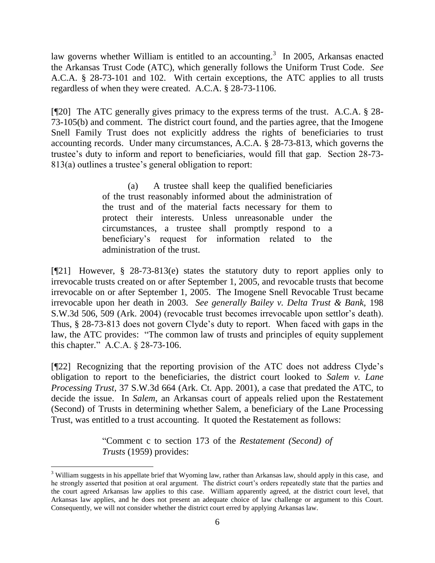law governs whether William is entitled to an accounting.<sup>3</sup> In 2005, Arkansas enacted the Arkansas Trust Code (ATC), which generally follows the Uniform Trust Code. *See*  A.C.A. § 28-73-101 and 102. With certain exceptions, the ATC applies to all trusts regardless of when they were created. A.C.A. § 28-73-1106.

[¶20] The ATC generally gives primacy to the express terms of the trust. A.C.A. § 28- 73-105(b) and comment. The district court found, and the parties agree, that the Imogene Snell Family Trust does not explicitly address the rights of beneficiaries to trust accounting records. Under many circumstances, A.C.A. § 28-73-813, which governs the trustee's duty to inform and report to beneficiaries, would fill that gap. Section 28-73- 813(a) outlines a trustee's general obligation to report:

> (a) A trustee shall keep the qualified beneficiaries of the trust reasonably informed about the administration of the trust and of the material facts necessary for them to protect their interests. Unless unreasonable under the circumstances, a trustee shall promptly respond to a beneficiary's request for information related to the administration of the trust.

[¶21] However, § 28-73-813(e) states the statutory duty to report applies only to irrevocable trusts created on or after September 1, 2005, and revocable trusts that become irrevocable on or after September 1, 2005. The Imogene Snell Revocable Trust became irrevocable upon her death in 2003. *See generally Bailey v. Delta Trust & Bank,* 198 S.W.3d 506, 509 (Ark. 2004) (revocable trust becomes irrevocable upon settlor's death). Thus, § 28-73-813 does not govern Clyde's duty to report. When faced with gaps in the law, the ATC provides: "The common law of trusts and principles of equity supplement this chapter." A.C.A. § 28-73-106.

[¶22] Recognizing that the reporting provision of the ATC does not address Clyde's obligation to report to the beneficiaries, the district court looked to *Salem v. Lane Processing Trust,* 37 S.W.3d 664 (Ark. Ct. App. 2001), a case that predated the ATC, to decide the issue. In *Salem*, an Arkansas court of appeals relied upon the Restatement (Second) of Trusts in determining whether Salem, a beneficiary of the Lane Processing Trust, was entitled to a trust accounting. It quoted the Restatement as follows:

> "Comment c to [section 173](http://www.westlaw.com/Link/Document/FullText?findType=Y&serNum=0291388723&pubNum=0101580&originatingDoc=Iabe32ff9e7b511d9b386b232635db992&refType=TS&originationContext=document&vr=3.0&rs=cblt1.0&transitionType=DocumentItem&contextData=(sc.UserEnteredCitation)) of the *Restatement (Second) of Trusts* (1959) provides:

 $\overline{a}$ 

<sup>&</sup>lt;sup>3</sup> William suggests in his appellate brief that Wyoming law, rather than Arkansas law, should apply in this case, and he strongly asserted that position at oral argument. The district court's orders repeatedly state that the parties and the court agreed Arkansas law applies to this case. William apparently agreed, at the district court level, that Arkansas law applies, and he does not present an adequate choice of law challenge or argument to this Court. Consequently, we will not consider whether the district court erred by applying Arkansas law.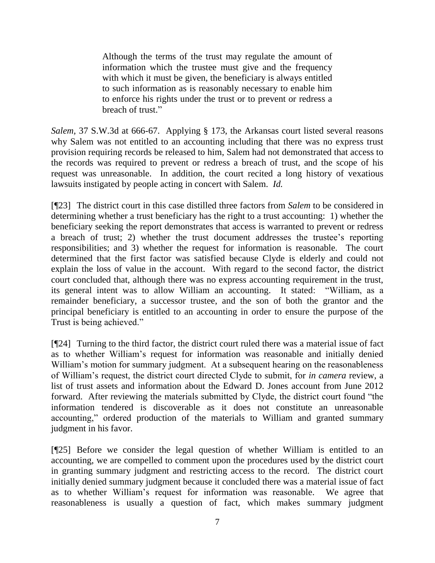Although the terms of the trust may regulate the amount of information which the trustee must give and the frequency with which it must be given, the beneficiary is always entitled to such information as is reasonably necessary to enable him to enforce his rights under the trust or to prevent or redress a breach of trust."

*Salem,* 37 S.W.3d at 666-67. Applying § 173, the Arkansas court listed several reasons why Salem was not entitled to an accounting including that there was no express trust provision requiring records be released to him, Salem had not demonstrated that access to the records was required to prevent or redress a breach of trust, and the scope of his request was unreasonable. In addition, the court recited a long history of vexatious lawsuits instigated by people acting in concert with Salem. *Id.* 

[¶23] The district court in this case distilled three factors from *Salem* to be considered in determining whether a trust beneficiary has the right to a trust accounting: 1) whether the beneficiary seeking the report demonstrates that access is warranted to prevent or redress a breach of trust; 2) whether the trust document addresses the trustee's reporting responsibilities; and 3) whether the request for information is reasonable. The court determined that the first factor was satisfied because Clyde is elderly and could not explain the loss of value in the account. With regard to the second factor, the district court concluded that, although there was no express accounting requirement in the trust, its general intent was to allow William an accounting. It stated: "William, as a remainder beneficiary, a successor trustee, and the son of both the grantor and the principal beneficiary is entitled to an accounting in order to ensure the purpose of the Trust is being achieved."

[¶24] Turning to the third factor, the district court ruled there was a material issue of fact as to whether William's request for information was reasonable and initially denied William's motion for summary judgment. At a subsequent hearing on the reasonableness of William's request, the district court directed Clyde to submit, for *in camera* review, a list of trust assets and information about the Edward D. Jones account from June 2012 forward. After reviewing the materials submitted by Clyde, the district court found "the information tendered is discoverable as it does not constitute an unreasonable accounting," ordered production of the materials to William and granted summary judgment in his favor.

[¶25] Before we consider the legal question of whether William is entitled to an accounting, we are compelled to comment upon the procedures used by the district court in granting summary judgment and restricting access to the record. The district court initially denied summary judgment because it concluded there was a material issue of fact as to whether William's request for information was reasonable. We agree that reasonableness is usually a question of fact, which makes summary judgment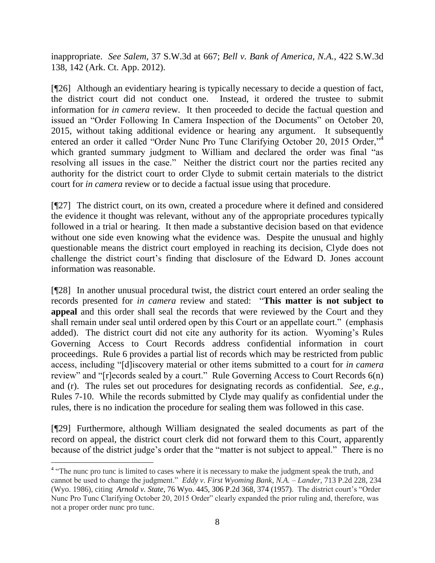inappropriate. *See Salem,* 37 S.W.3d at 667; *Bell v. Bank of America, N.A.,* 422 S.W.3d 138, 142 (Ark. Ct. App. 2012).

[¶26] Although an evidentiary hearing is typically necessary to decide a question of fact, the district court did not conduct one. Instead, it ordered the trustee to submit information for *in camera* review. It then proceeded to decide the factual question and issued an "Order Following In Camera Inspection of the Documents" on October 20, 2015, without taking additional evidence or hearing any argument. It subsequently entered an order it called "Order Nunc Pro Tunc Clarifying October 20, 2015 Order,"<sup>4</sup> which granted summary judgment to William and declared the order was final "as resolving all issues in the case." Neither the district court nor the parties recited any authority for the district court to order Clyde to submit certain materials to the district court for *in camera* review or to decide a factual issue using that procedure.

[¶27] The district court, on its own, created a procedure where it defined and considered the evidence it thought was relevant, without any of the appropriate procedures typically followed in a trial or hearing. It then made a substantive decision based on that evidence without one side even knowing what the evidence was. Despite the unusual and highly questionable means the district court employed in reaching its decision, Clyde does not challenge the district court's finding that disclosure of the Edward D. Jones account information was reasonable.

[¶28] In another unusual procedural twist, the district court entered an order sealing the records presented for *in camera* review and stated: "**This matter is not subject to appeal** and this order shall seal the records that were reviewed by the Court and they shall remain under seal until ordered open by this Court or an appellate court." (emphasis added). The district court did not cite any authority for its action. Wyoming's Rules Governing Access to Court Records address confidential information in court proceedings. Rule 6 provides a partial list of records which may be restricted from public access, including "[d]iscovery material or other items submitted to a court for *in camera*  review" and "[r]ecords sealed by a court." Rule Governing Access to Court Records 6(n) and (r). The rules set out procedures for designating records as confidential. *See, e.g.*, Rules 7-10. While the records submitted by Clyde may qualify as confidential under the rules, there is no indication the procedure for sealing them was followed in this case.

[¶29] Furthermore, although William designated the sealed documents as part of the record on appeal, the district court clerk did not forward them to this Court, apparently because of the district judge's order that the "matter is not subject to appeal." There is no

<sup>&</sup>lt;sup>4</sup> "The nunc pro tunc is limited to cases where it is necessary to make the judgment speak the truth, and cannot be used to change the judgment." *Eddy v. First Wyoming Bank, N.A. – Lander,* 713 P.2d 228, 234 (Wyo. 1986), citing *Arnold v. State,* [76 Wyo. 445, 306 P.2d 368, 374 \(1957\).](https://1.next.westlaw.com/Link/Document/FullText?findType=Y&serNum=1957128664&pubNum=661&originatingDoc=I6d9ab081f5aa11d9b386b232635db992&refType=RP&fi=co_pp_sp_661_374&originationContext=document&transitionType=DocumentItem&contextData=(sc.Search)#co_pp_sp_661_374) The district court's "Order Nunc Pro Tunc Clarifying October 20, 2015 Order" clearly expanded the prior ruling and, therefore, was not a proper order nunc pro tunc.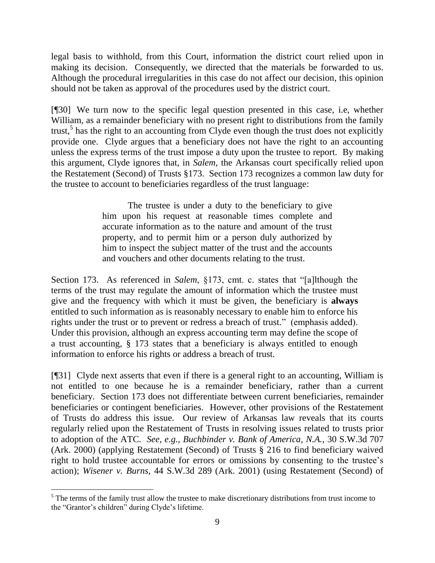legal basis to withhold, from this Court, information the district court relied upon in making its decision. Consequently, we directed that the materials be forwarded to us. Although the procedural irregularities in this case do not affect our decision, this opinion should not be taken as approval of the procedures used by the district court.

[¶30] We turn now to the specific legal question presented in this case, i.e, whether William, as a remainder beneficiary with no present right to distributions from the family trust,<sup>5</sup> has the right to an accounting from Clyde even though the trust does not explicitly provide one. Clyde argues that a beneficiary does not have the right to an accounting unless the express terms of the trust impose a duty upon the trustee to report. By making this argument, Clyde ignores that, in *Salem,* the Arkansas court specifically relied upon the Restatement (Second) of Trusts §173. Section 173 recognizes a common law duty for the trustee to account to beneficiaries regardless of the trust language:

> The trustee is under a duty to the beneficiary to give him upon his request at reasonable times complete and accurate information as to the nature and amount of the trust property, and to permit him or a person duly authorized by him to inspect the subject matter of the trust and the accounts and vouchers and other documents relating to the trust.

Section 173. As referenced in *Salem*, §173, cmt. c. states that "[a]lthough the terms of the trust may regulate the amount of information which the trustee must give and the frequency with which it must be given, the beneficiary is **always** entitled to such information as is reasonably necessary to enable him to enforce his rights under the trust or to prevent or redress a breach of trust." (emphasis added). Under this provision, although an express accounting term may define the scope of a trust accounting, § 173 states that a beneficiary is always entitled to enough information to enforce his rights or address a breach of trust.

[¶31] Clyde next asserts that even if there is a general right to an accounting, William is not entitled to one because he is a remainder beneficiary, rather than a current beneficiary. Section 173 does not differentiate between current beneficiaries, remainder beneficiaries or contingent beneficiaries. However, other provisions of the Restatement of Trusts do address this issue. Our review of Arkansas law reveals that its courts regularly relied upon the Restatement of Trusts in resolving issues related to trusts prior to adoption of the ATC. *See, e.g.*, *Buchbinder v. Bank of America, N.A.,* 30 S.W.3d 707 (Ark. 2000) (applying Restatement (Second) of Trusts § 216 to find beneficiary waived right to hold trustee accountable for errors or omissions by consenting to the trustee's action); *Wisener v. Burns,* 44 S.W.3d 289 (Ark. 2001) (using Restatement (Second) of

l

 $<sup>5</sup>$  The terms of the family trust allow the trustee to make discretionary distributions from trust income to</sup> the "Grantor's children" during Clyde's lifetime.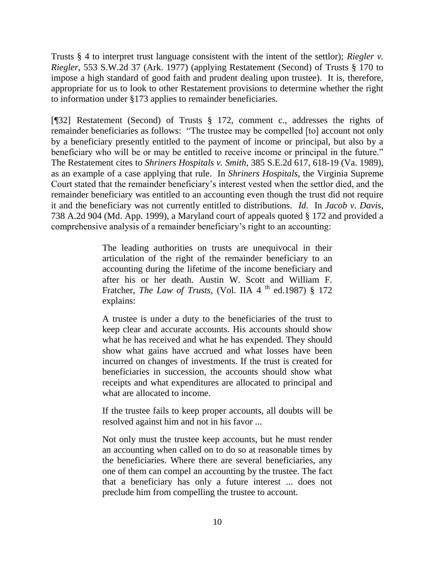Trusts § 4 to interpret trust language consistent with the intent of the settlor); *Riegler v. Riegler,* 553 S.W.2d 37 (Ark. 1977) (applying Restatement (Second) of Trusts § 170 to impose a high standard of good faith and prudent dealing upon trustee). It is, therefore, appropriate for us to look to other Restatement provisions to determine whether the right to information under §173 applies to remainder beneficiaries.

[¶32] Restatement (Second) of Trusts § 172, comment c., addresses the rights of remainder beneficiaries as follows: "The trustee may be compelled [to] account not only by a beneficiary presently entitled to the payment of income or principal, but also by a beneficiary who will be or may be entitled to receive income or principal in the future." The Restatement cites to *[Shriners Hospitals v. Smith](http://www.westlaw.com/Link/Document/FullText?findType=Y&serNum=1989161278&pubNum=0000711&originatingDoc=I20bd2535dac711e2b36b0000833f9e5b&refType=RP&fi=co_pp_sp_711_618&originationContext=document&vr=3.0&rs=cblt1.0&transitionType=DocumentItem&contextData=(sc.Search)#co_pp_sp_711_618)*, 385 S.E.2d 617, 618-19 (Va. 1989), as an example of a case applying that rule. In *Shriners Hospitals*, the Virginia Supreme Court stated that the remainder beneficiary's interest vested when the settlor died, and the remainder beneficiary was entitled to an accounting even though the trust did not require it and the beneficiary was not currently entitled to distributions. *Id.* In *[Jacob v. Davis](http://www.westlaw.com/Link/Document/FullText?findType=Y&serNum=1999226623&pubNum=0000162&originatingDoc=I20bd2535dac711e2b36b0000833f9e5b&refType=RP&fi=co_pp_sp_162_912&originationContext=document&vr=3.0&rs=cblt1.0&transitionType=DocumentItem&contextData=(sc.Search)#co_pp_sp_162_912)*, [738 A.2d 904](http://www.westlaw.com/Link/Document/FullText?findType=Y&serNum=1999226623&pubNum=0000162&originatingDoc=I20bd2535dac711e2b36b0000833f9e5b&refType=RP&fi=co_pp_sp_162_912&originationContext=document&vr=3.0&rs=cblt1.0&transitionType=DocumentItem&contextData=(sc.Search)#co_pp_sp_162_912) (Md. App. 1999), a Maryland court of appeals quoted § 172 and provided a comprehensive analysis of a remainder beneficiary's right to an accounting:

> The leading authorities on trusts are unequivocal in their articulation of the right of the remainder beneficiary to an accounting during the lifetime of the income beneficiary and after his or her death. Austin W. Scott and William F. Fratcher, *The Law of Trusts*, (Vol. IIA 4<sup>th</sup> ed.1987) § 172 explains:

> A trustee is under a duty to the beneficiaries of the trust to keep clear and accurate accounts. His accounts should show what he has received and what he has expended. They should show what gains have accrued and what losses have been incurred on changes of investments. If the trust is created for beneficiaries in succession, the accounts should show what receipts and what expenditures are allocated to principal and what are allocated to income.

> If the trustee fails to keep proper accounts, all doubts will be resolved against him and not in his favor ...

> Not only must the trustee keep accounts, but he must render an accounting when called on to do so at reasonable times by the beneficiaries. Where there are several beneficiaries, any one of them can compel an accounting by the trustee. The fact that a beneficiary has only a future interest ... does not preclude him from compelling the trustee to account.